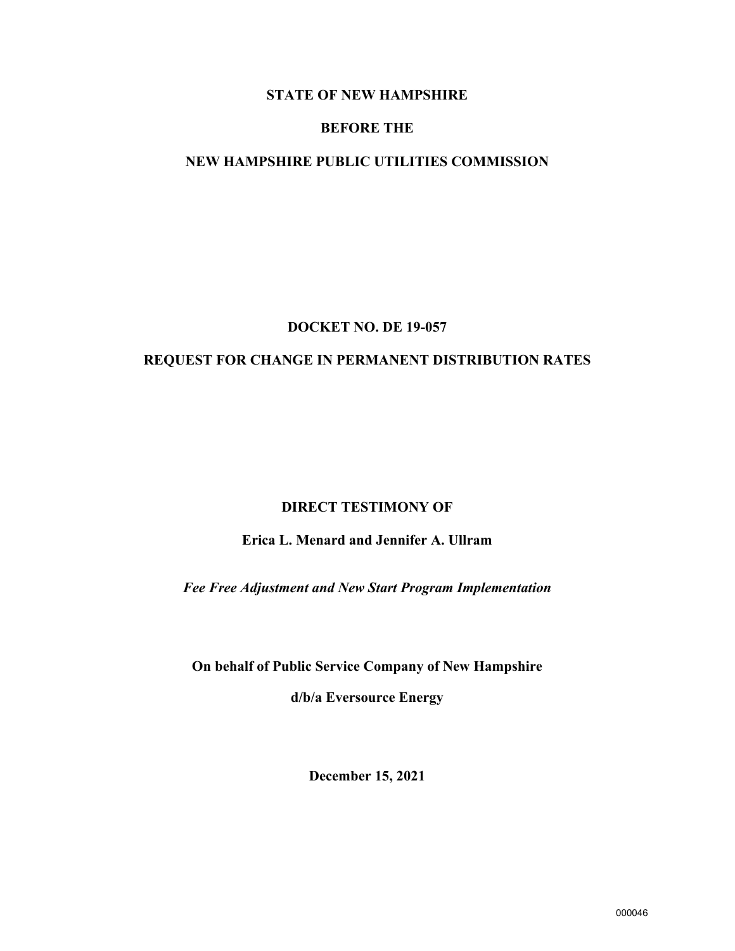# **STATE OF NEW HAMPSHIRE**

#### **BEFORE THE**

# **NEW HAMPSHIRE PUBLIC UTILITIES COMMISSION**

#### **DOCKET NO. DE 19-057**

# **REQUEST FOR CHANGE IN PERMANENT DISTRIBUTION RATES**

#### **DIRECT TESTIMONY OF**

# **Erica L. Menard and Jennifer A. Ullram**

*Fee Free Adjustment and New Start Program Implementation*

**On behalf of Public Service Company of New Hampshire** 

**d/b/a Eversource Energy**

**December 15, 2021**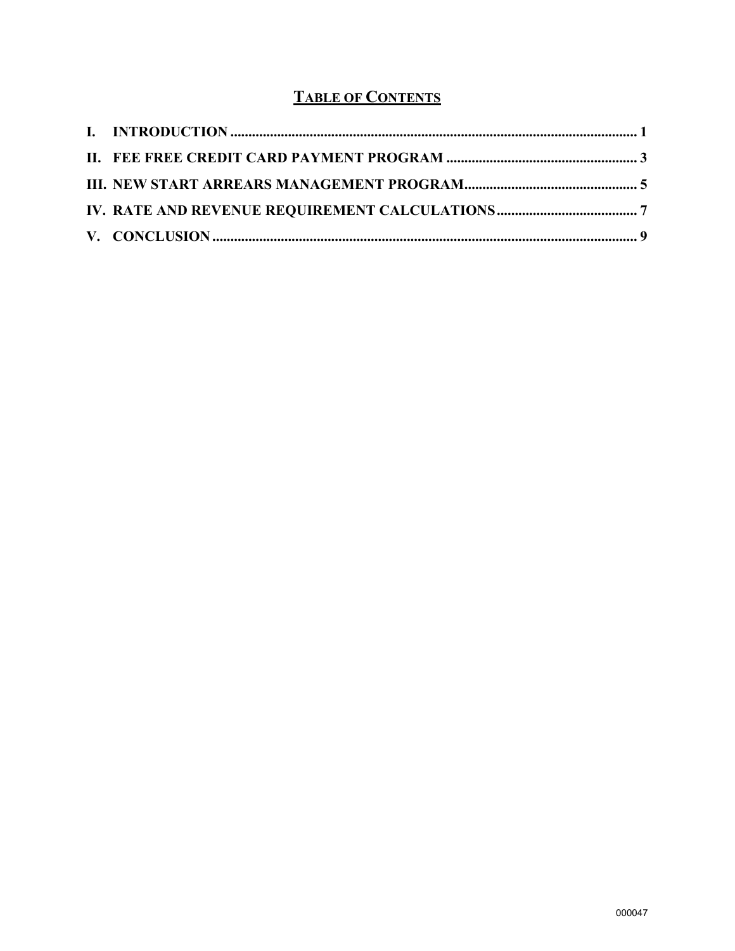# **TABLE OF CONTENTS**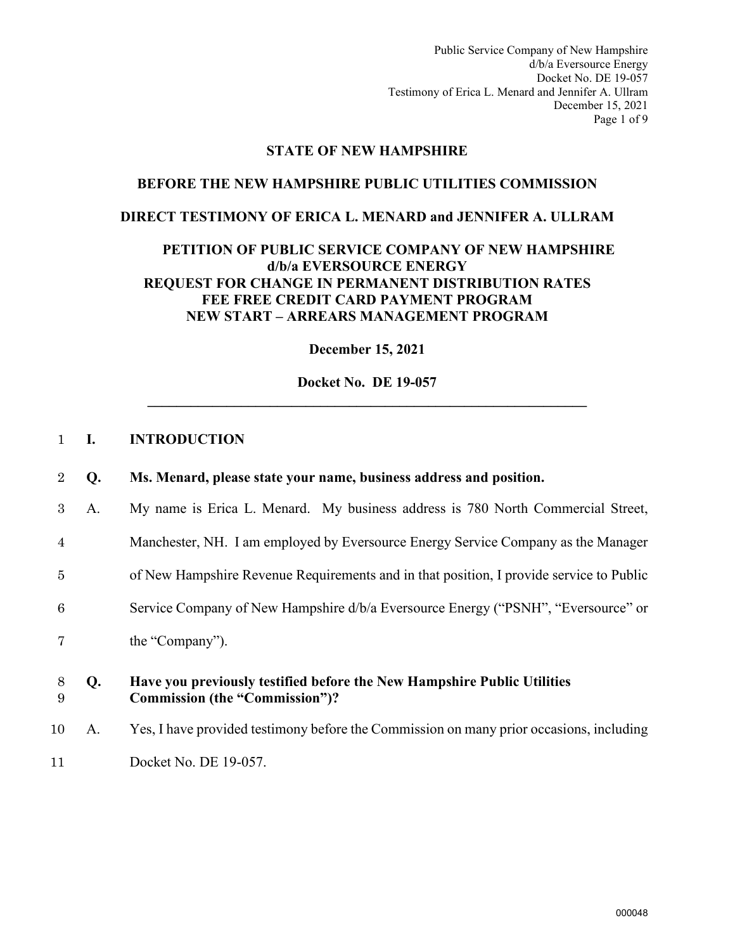Public Service Company of New Hampshire d/b/a Eversource Energy Docket No. DE 19-057 Testimony of Erica L. Menard and Jennifer A. Ullram December 15, 2021 Page 1 of 9

#### **STATE OF NEW HAMPSHIRE**

# **BEFORE THE NEW HAMPSHIRE PUBLIC UTILITIES COMMISSION**

#### **DIRECT TESTIMONY OF ERICA L. MENARD and JENNIFER A. ULLRAM**

## **PETITION OF PUBLIC SERVICE COMPANY OF NEW HAMPSHIRE d/b/a EVERSOURCE ENERGY REQUEST FOR CHANGE IN PERMANENT DISTRIBUTION RATES FEE FREE CREDIT CARD PAYMENT PROGRAM NEW START – ARREARS MANAGEMENT PROGRAM**

**December 15, 2021** 

**Docket No. DE 19-057 \_\_\_\_\_\_\_\_\_\_\_\_\_\_\_\_\_\_\_\_\_\_\_\_\_\_\_\_\_\_\_\_\_\_\_\_\_\_\_\_\_\_\_\_\_\_\_\_\_\_\_\_\_\_\_\_\_\_\_\_\_** 

#### <span id="page-2-0"></span>1 **I. INTRODUCTION**

| 2 Q. |  |  |  | Ms. Menard, please state your name, business address and position. |  |
|------|--|--|--|--------------------------------------------------------------------|--|
|------|--|--|--|--------------------------------------------------------------------|--|

- 3 A. My name is Erica L. Menard. My business address is 780 North Commercial Street,
- 4 Manchester, NH. I am employed by Eversource Energy Service Company as the Manager
- 5 of New Hampshire Revenue Requirements and in that position, I provide service to Public
- 6 Service Company of New Hampshire d/b/a Eversource Energy ("PSNH", "Eversource" or
- 7 the "Company").

#### 8 **Q. Have you previously testified before the New Hampshire Public Utilities**  9 **Commission (the "Commission")?**

10 A. Yes, I have provided testimony before the Commission on many prior occasions, including 11 Docket No. DE 19-057.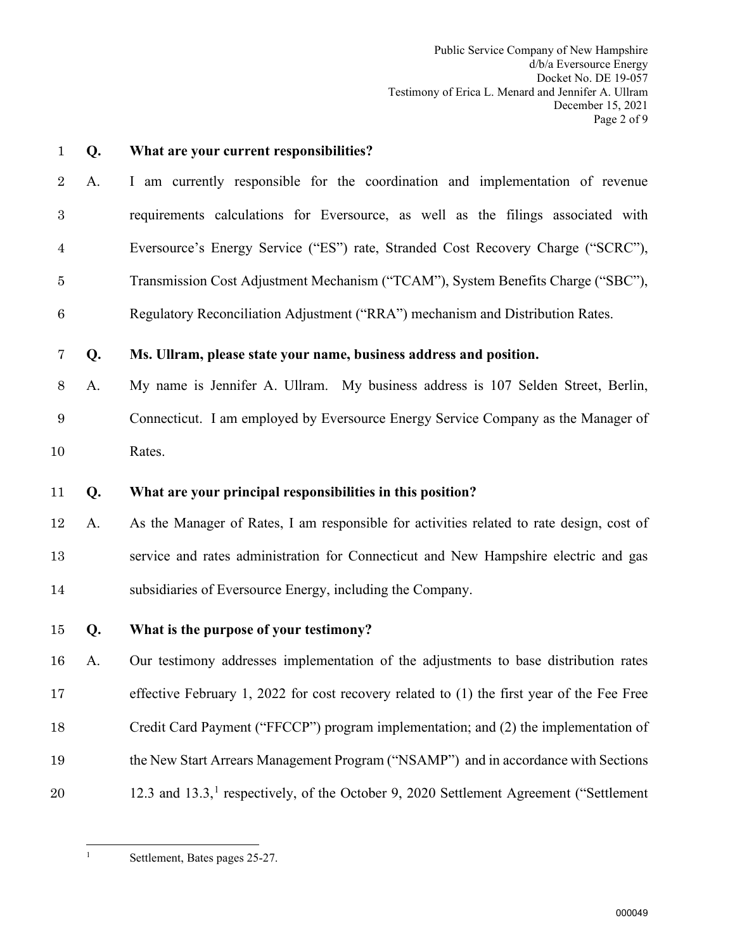Public Service Company of New Hampshire d/b/a Eversource Energy Docket No. DE 19-057 Testimony of Erica L. Menard and Jennifer A. Ullram December 15, 2021 Page 2 of 9

**Q. What are your current responsibilities?** A. I am currently responsible for the coordination and implementation of revenue requirements calculations for Eversource, as well as the filings associated with Eversource's Energy Service ("ES") rate, Stranded Cost Recovery Charge ("SCRC"), Transmission Cost Adjustment Mechanism ("TCAM"), System Benefits Charge ("SBC"), Regulatory Reconciliation Adjustment ("RRA") mechanism and Distribution Rates. **Q. Ms. Ullram, please state your name, business address and position.**  A. My name is Jennifer A. Ullram. My business address is 107 Selden Street, Berlin, Connecticut. I am employed by Eversource Energy Service Company as the Manager of Rates. **Q. What are your principal responsibilities in this position?**  A. As the Manager of Rates, I am responsible for activities related to rate design, cost of service and rates administration for Connecticut and New Hampshire electric and gas subsidiaries of Eversource Energy, including the Company. **Q. What is the purpose of your testimony?**  A. Our testimony addresses implementation of the adjustments to base distribution rates effective February 1, 2022 for cost recovery related to (1) the first year of the Fee Free Credit Card Payment ("FFCCP") program implementation; and (2) the implementation of the New Start Arrears Management Program ("NSAMP") and in accordance with Sections [1](#page-3-0)2.3 and 13.3,<sup>1</sup> respectively, of the October 9, 2020 Settlement Agreement ("Settlement"

<span id="page-3-0"></span>

Settlement, Bates pages 25-27.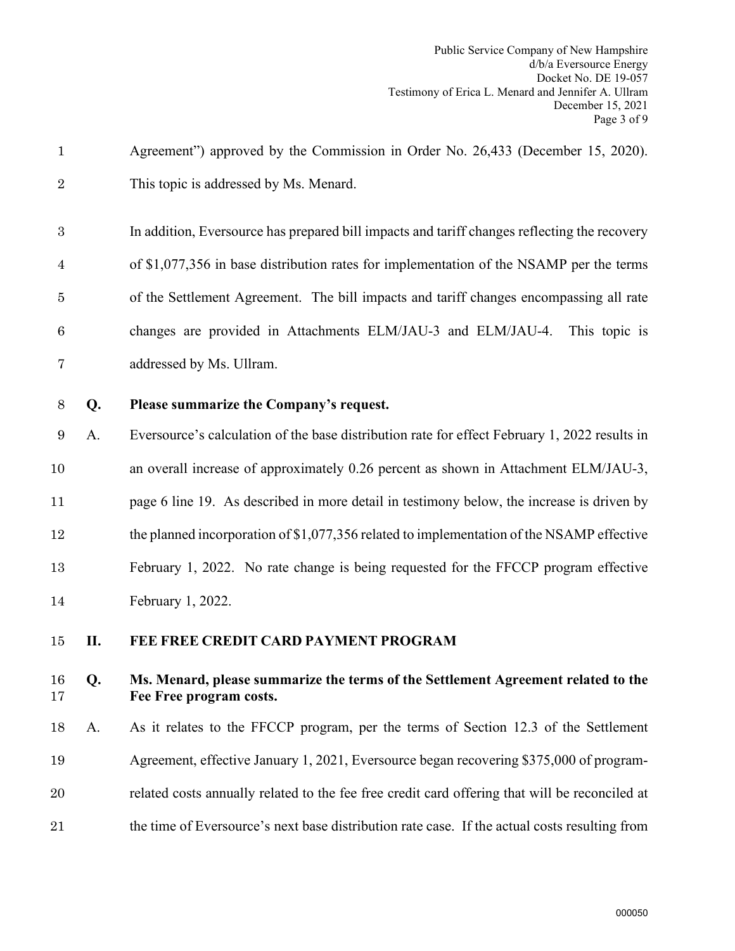- Agreement") approved by the Commission in Order No. 26,433 (December 15, 2020). This topic is addressed by Ms. Menard.
- In addition, Eversource has prepared bill impacts and tariff changes reflecting the recovery of \$1,077,356 in base distribution rates for implementation of the NSAMP per the terms of the Settlement Agreement. The bill impacts and tariff changes encompassing all rate changes are provided in Attachments ELM/JAU-3 and ELM/JAU-4. This topic is addressed by Ms. Ullram.
- 

# **Q. Please summarize the Company's request.**

A. Eversource's calculation of the base distribution rate for effect February 1, 2022 results in an overall increase of approximately 0.26 percent as shown in Attachment ELM/JAU-3, 11 page 6 line 19. As described in more detail in testimony below, the increase is driven by the planned incorporation of \$1,077,356 related to implementation of the NSAMP effective February 1, 2022. No rate change is being requested for the FFCCP program effective February 1, 2022.

# <span id="page-4-0"></span>**II. FEE FREE CREDIT CARD PAYMENT PROGRAM**

# **Q. Ms. Menard, please summarize the terms of the Settlement Agreement related to the Fee Free program costs.**

 A. As it relates to the FFCCP program, per the terms of Section 12.3 of the Settlement Agreement, effective January 1, 2021, Eversource began recovering \$375,000 of program- related costs annually related to the fee free credit card offering that will be reconciled at the time of Eversource's next base distribution rate case. If the actual costs resulting from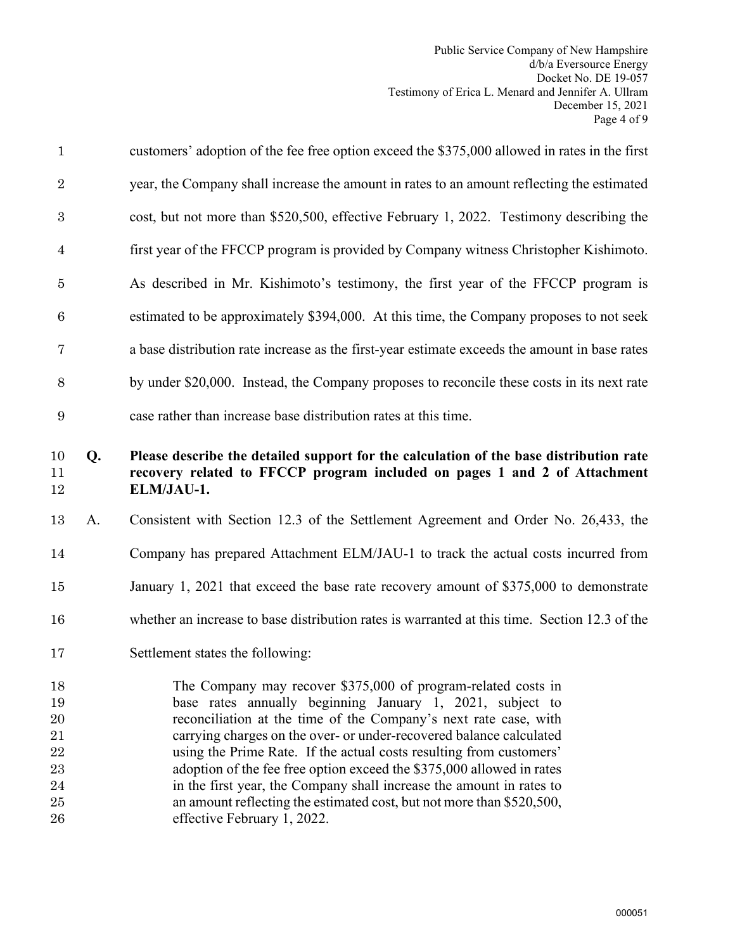| $\mathbf{1}$                                       |    | customers' adoption of the fee free option exceed the \$375,000 allowed in rates in the first                                                                                                                                                                                                                                                                                                                                                                                                                                                                                                         |
|----------------------------------------------------|----|-------------------------------------------------------------------------------------------------------------------------------------------------------------------------------------------------------------------------------------------------------------------------------------------------------------------------------------------------------------------------------------------------------------------------------------------------------------------------------------------------------------------------------------------------------------------------------------------------------|
| $\overline{2}$                                     |    | year, the Company shall increase the amount in rates to an amount reflecting the estimated                                                                                                                                                                                                                                                                                                                                                                                                                                                                                                            |
| 3                                                  |    | cost, but not more than \$520,500, effective February 1, 2022. Testimony describing the                                                                                                                                                                                                                                                                                                                                                                                                                                                                                                               |
| 4                                                  |    | first year of the FFCCP program is provided by Company witness Christopher Kishimoto.                                                                                                                                                                                                                                                                                                                                                                                                                                                                                                                 |
| $\bf 5$                                            |    | As described in Mr. Kishimoto's testimony, the first year of the FFCCP program is                                                                                                                                                                                                                                                                                                                                                                                                                                                                                                                     |
| 6                                                  |    | estimated to be approximately \$394,000. At this time, the Company proposes to not seek                                                                                                                                                                                                                                                                                                                                                                                                                                                                                                               |
| 7                                                  |    | a base distribution rate increase as the first-year estimate exceeds the amount in base rates                                                                                                                                                                                                                                                                                                                                                                                                                                                                                                         |
| 8                                                  |    | by under \$20,000. Instead, the Company proposes to reconcile these costs in its next rate                                                                                                                                                                                                                                                                                                                                                                                                                                                                                                            |
| 9                                                  |    | case rather than increase base distribution rates at this time.                                                                                                                                                                                                                                                                                                                                                                                                                                                                                                                                       |
| 10<br>11<br>12                                     | Q. | Please describe the detailed support for the calculation of the base distribution rate<br>recovery related to FFCCP program included on pages 1 and 2 of Attachment<br>ELM/JAU-1.                                                                                                                                                                                                                                                                                                                                                                                                                     |
| 13                                                 | A. | Consistent with Section 12.3 of the Settlement Agreement and Order No. 26,433, the                                                                                                                                                                                                                                                                                                                                                                                                                                                                                                                    |
| 14                                                 |    | Company has prepared Attachment ELM/JAU-1 to track the actual costs incurred from                                                                                                                                                                                                                                                                                                                                                                                                                                                                                                                     |
| 15                                                 |    | January 1, 2021 that exceed the base rate recovery amount of \$375,000 to demonstrate                                                                                                                                                                                                                                                                                                                                                                                                                                                                                                                 |
| 16                                                 |    | whether an increase to base distribution rates is warranted at this time. Section 12.3 of the                                                                                                                                                                                                                                                                                                                                                                                                                                                                                                         |
| 17                                                 |    |                                                                                                                                                                                                                                                                                                                                                                                                                                                                                                                                                                                                       |
|                                                    |    | Settlement states the following:                                                                                                                                                                                                                                                                                                                                                                                                                                                                                                                                                                      |
| 18<br>19<br>20<br>21<br>22<br>23<br>24<br>25<br>26 |    | The Company may recover \$375,000 of program-related costs in<br>base rates annually beginning January 1, 2021, subject to<br>reconciliation at the time of the Company's next rate case, with<br>carrying charges on the over- or under-recovered balance calculated<br>using the Prime Rate. If the actual costs resulting from customers'<br>adoption of the fee free option exceed the \$375,000 allowed in rates<br>in the first year, the Company shall increase the amount in rates to<br>an amount reflecting the estimated cost, but not more than \$520,500,<br>effective February 1, 2022. |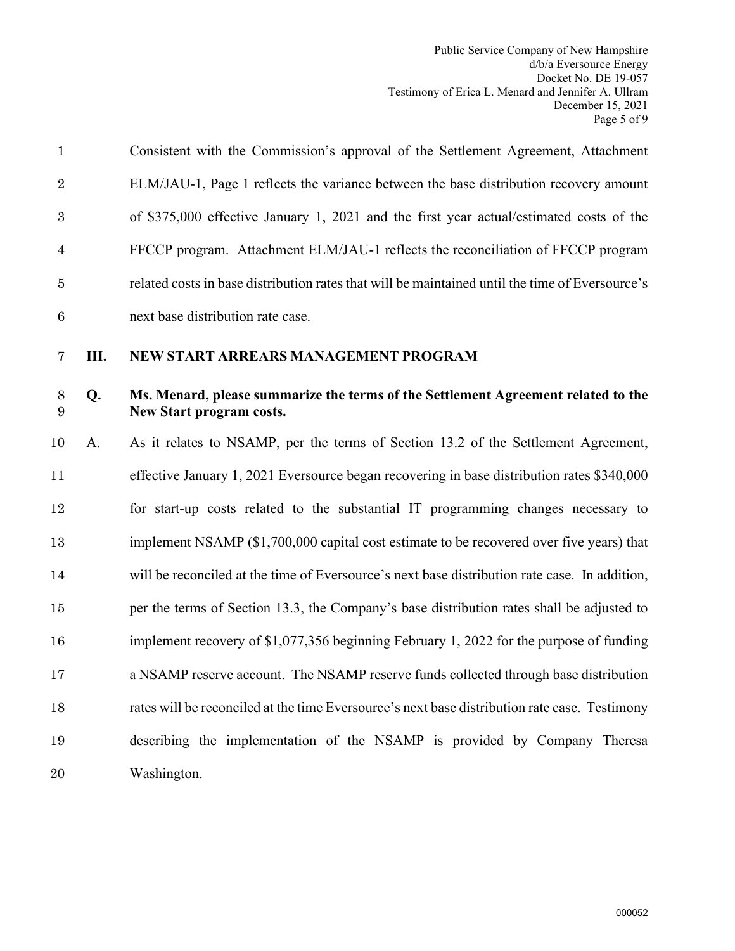<span id="page-6-0"></span>

| $\mathbf{1}$              |    | Consistent with the Commission's approval of the Settlement Agreement, Attachment                             |
|---------------------------|----|---------------------------------------------------------------------------------------------------------------|
| $\overline{2}$            |    | ELM/JAU-1, Page 1 reflects the variance between the base distribution recovery amount                         |
| $\boldsymbol{3}$          |    | of \$375,000 effective January 1, 2021 and the first year actual/estimated costs of the                       |
| $\overline{4}$            |    | FFCCP program. Attachment ELM/JAU-1 reflects the reconciliation of FFCCP program                              |
| $\bf 5$                   |    | related costs in base distribution rates that will be maintained until the time of Eversource's               |
| $6\phantom{.}6$           |    | next base distribution rate case.                                                                             |
| $\overline{7}$            | Ш. | NEW START ARREARS MANAGEMENT PROGRAM                                                                          |
| $8\,$<br>$\boldsymbol{9}$ | Q. | Ms. Menard, please summarize the terms of the Settlement Agreement related to the<br>New Start program costs. |
| 10                        | A. | As it relates to NSAMP, per the terms of Section 13.2 of the Settlement Agreement,                            |
| 11                        |    | effective January 1, 2021 Eversource began recovering in base distribution rates \$340,000                    |
| 12                        |    | for start-up costs related to the substantial IT programming changes necessary to                             |
| 13                        |    | implement NSAMP (\$1,700,000 capital cost estimate to be recovered over five years) that                      |
| 14                        |    | will be reconciled at the time of Eversource's next base distribution rate case. In addition,                 |
| 15                        |    | per the terms of Section 13.3, the Company's base distribution rates shall be adjusted to                     |
| 16                        |    | implement recovery of \$1,077,356 beginning February 1, 2022 for the purpose of funding                       |
| 17                        |    | a NSAMP reserve account. The NSAMP reserve funds collected through base distribution                          |
| 18                        |    | rates will be reconciled at the time Eversource's next base distribution rate case. Testimony                 |
| 19                        |    | describing the implementation of the NSAMP is provided by Company Theresa                                     |
| 20                        |    | Washington.                                                                                                   |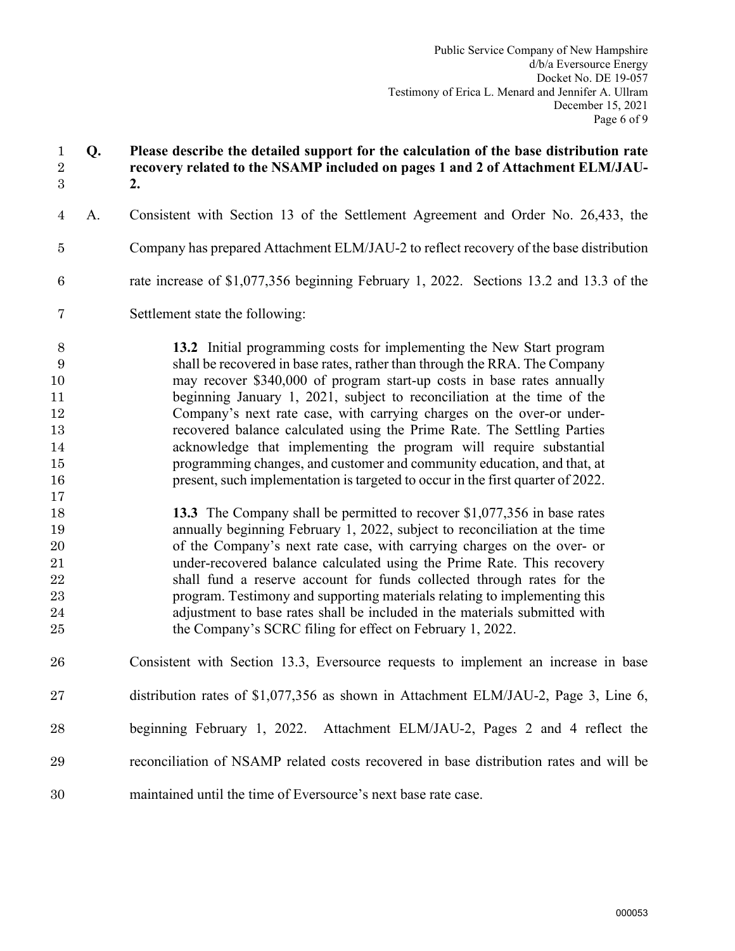# **Q. Please describe the detailed support for the calculation of the base distribution rate recovery related to the NSAMP included on pages 1 and 2 of Attachment ELM/JAU-2.**  A. Consistent with Section 13 of the Settlement Agreement and Order No. 26,433, the Company has prepared Attachment ELM/JAU-2 to reflect recovery of the base distribution rate increase of \$1,077,356 beginning February 1, 2022. Sections 13.2 and 13.3 of the Settlement state the following: **13.2** Initial programming costs for implementing the New Start program shall be recovered in base rates, rather than through the RRA. The Company may recover \$340,000 of program start-up costs in base rates annually beginning January 1, 2021, subject to reconciliation at the time of the Company's next rate case, with carrying charges on the over-or under- recovered balance calculated using the Prime Rate. The Settling Parties acknowledge that implementing the program will require substantial programming changes, and customer and community education, and that, at 16 present, such implementation is targeted to occur in the first quarter of 2022. **13.3** The Company shall be permitted to recover \$1,077,356 in base rates annually beginning February 1, 2022, subject to reconciliation at the time of the Company's next rate case, with carrying charges on the over- or under-recovered balance calculated using the Prime Rate. This recovery shall fund a reserve account for funds collected through rates for the program. Testimony and supporting materials relating to implementing this adjustment to base rates shall be included in the materials submitted with 25 the Company's SCRC filing for effect on February 1, 2022. Consistent with Section 13.3, Eversource requests to implement an increase in base distribution rates of \$1,077,356 as shown in Attachment ELM/JAU-2, Page 3, Line 6, beginning February 1, 2022. Attachment ELM/JAU-2, Pages 2 and 4 reflect the reconciliation of NSAMP related costs recovered in base distribution rates and will be maintained until the time of Eversource's next base rate case.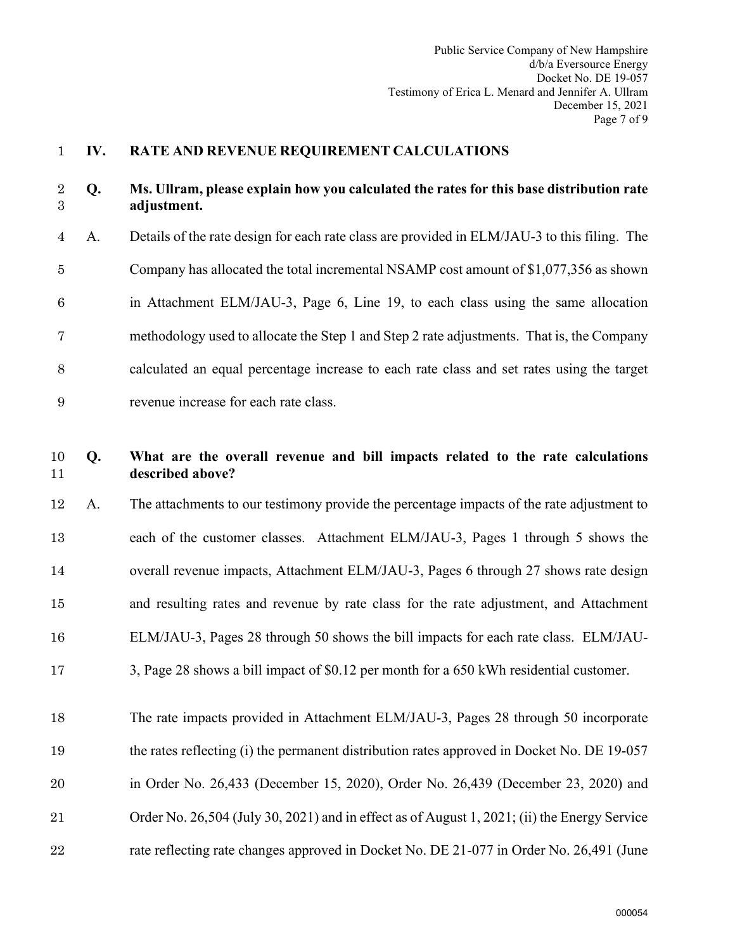### <span id="page-8-0"></span>**IV. RATE AND REVENUE REQUIREMENT CALCULATIONS**

### **Q. Ms. Ullram, please explain how you calculated the rates for this base distribution rate adjustment.**

A. Details of the rate design for each rate class are provided in ELM/JAU-3 to this filing. The Company has allocated the total incremental NSAMP cost amount of \$1,077,356 as shown in Attachment ELM/JAU-3, Page 6, Line 19, to each class using the same allocation methodology used to allocate the Step 1 and Step 2 rate adjustments. That is, the Company calculated an equal percentage increase to each rate class and set rates using the target revenue increase for each rate class.

# **Q. What are the overall revenue and bill impacts related to the rate calculations described above?**

- A. The attachments to our testimony provide the percentage impacts of the rate adjustment to each of the customer classes. Attachment ELM/JAU-3, Pages 1 through 5 shows the overall revenue impacts, Attachment ELM/JAU-3, Pages 6 through 27 shows rate design and resulting rates and revenue by rate class for the rate adjustment, and Attachment ELM/JAU-3, Pages 28 through 50 shows the bill impacts for each rate class. ELM/JAU-3, Page 28 shows a bill impact of \$0.12 per month for a 650 kWh residential customer.
- The rate impacts provided in Attachment ELM/JAU-3, Pages 28 through 50 incorporate the rates reflecting (i) the permanent distribution rates approved in Docket No. DE 19-057 in Order No. 26,433 (December 15, 2020), Order No. 26,439 (December 23, 2020) and Order No. 26,504 (July 30, 2021) and in effect as of August 1, 2021; (ii) the Energy Service 22 rate reflecting rate changes approved in Docket No. DE 21-077 in Order No. 26,491 (June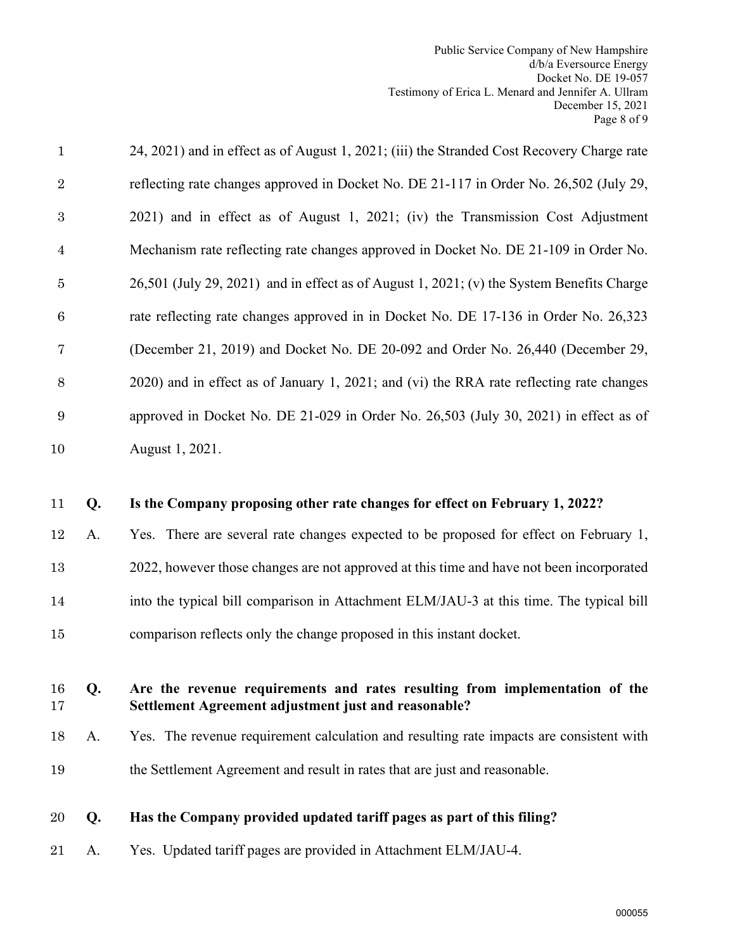| 15<br>16<br>17<br>18<br>19<br>20 | Q.<br>A.<br>Q. | comparison reflects only the change proposed in this instant docket.<br>Are the revenue requirements and rates resulting from implementation of the<br>Settlement Agreement adjustment just and reasonable?<br>Yes. The revenue requirement calculation and resulting rate impacts are consistent with<br>the Settlement Agreement and result in rates that are just and reasonable.<br>Has the Company provided updated tariff pages as part of this filing? |
|----------------------------------|----------------|---------------------------------------------------------------------------------------------------------------------------------------------------------------------------------------------------------------------------------------------------------------------------------------------------------------------------------------------------------------------------------------------------------------------------------------------------------------|
|                                  |                |                                                                                                                                                                                                                                                                                                                                                                                                                                                               |
|                                  |                |                                                                                                                                                                                                                                                                                                                                                                                                                                                               |
|                                  |                |                                                                                                                                                                                                                                                                                                                                                                                                                                                               |
|                                  |                |                                                                                                                                                                                                                                                                                                                                                                                                                                                               |
|                                  |                |                                                                                                                                                                                                                                                                                                                                                                                                                                                               |
| 14                               |                | into the typical bill comparison in Attachment ELM/JAU-3 at this time. The typical bill                                                                                                                                                                                                                                                                                                                                                                       |
| 13                               |                | 2022, however those changes are not approved at this time and have not been incorporated                                                                                                                                                                                                                                                                                                                                                                      |
| 12                               | A.             | Yes. There are several rate changes expected to be proposed for effect on February 1,                                                                                                                                                                                                                                                                                                                                                                         |
| 11                               | Q.             | Is the Company proposing other rate changes for effect on February 1, 2022?                                                                                                                                                                                                                                                                                                                                                                                   |
| 10                               |                | August 1, 2021.                                                                                                                                                                                                                                                                                                                                                                                                                                               |
| $\boldsymbol{9}$                 |                | approved in Docket No. DE 21-029 in Order No. 26,503 (July 30, 2021) in effect as of                                                                                                                                                                                                                                                                                                                                                                          |
| $8\,$                            |                | 2020) and in effect as of January 1, 2021; and (vi) the RRA rate reflecting rate changes                                                                                                                                                                                                                                                                                                                                                                      |
| 7                                |                | (December 21, 2019) and Docket No. DE 20-092 and Order No. 26,440 (December 29,                                                                                                                                                                                                                                                                                                                                                                               |
| $\,6\,$                          |                | rate reflecting rate changes approved in in Docket No. DE 17-136 in Order No. 26,323                                                                                                                                                                                                                                                                                                                                                                          |
| $\bf 5$                          |                | 26,501 (July 29, 2021) and in effect as of August 1, 2021; (v) the System Benefits Charge                                                                                                                                                                                                                                                                                                                                                                     |
| $\overline{4}$                   |                | Mechanism rate reflecting rate changes approved in Docket No. DE 21-109 in Order No.                                                                                                                                                                                                                                                                                                                                                                          |
| $\sqrt{3}$                       |                | 2021) and in effect as of August 1, 2021; (iv) the Transmission Cost Adjustment                                                                                                                                                                                                                                                                                                                                                                               |
|                                  |                | reflecting rate changes approved in Docket No. DE 21-117 in Order No. 26,502 (July 29,                                                                                                                                                                                                                                                                                                                                                                        |
| $\overline{2}$                   |                | 24, 2021) and in effect as of August 1, 2021; (iii) the Stranded Cost Recovery Charge rate                                                                                                                                                                                                                                                                                                                                                                    |